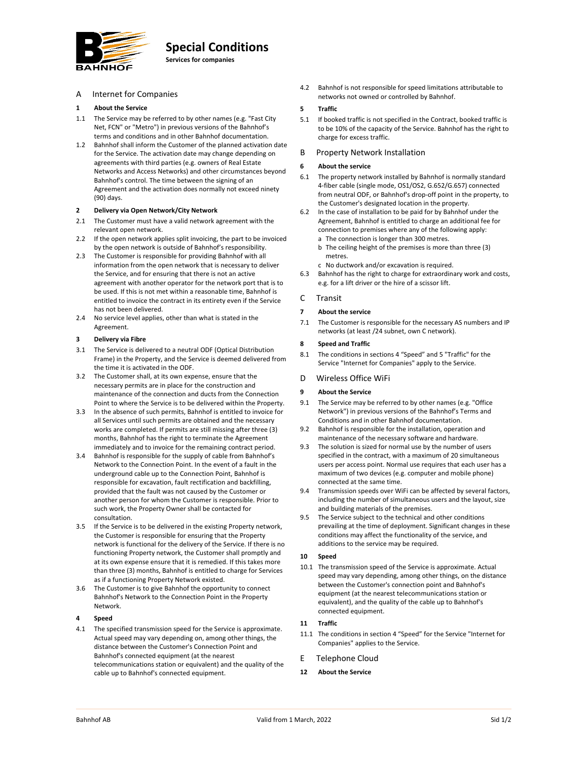

# **Special Conditions**

**Services for companies**

A Internet for Companies

# **1 About the Service**

- 1.1 The Service may be referred to by other names (e.g. "Fast City Net, FCN" or "Metro") in previous versions of the Bahnhof's terms and conditions and in other Bahnhof documentation.
- 1.2 Bahnhof shall inform the Customer of the planned activation date for the Service. The activation date may change depending on agreements with third parties (e.g. owners of Real Estate Networks and Access Networks) and other circumstances beyond Bahnhof's control. The time between the signing of an Agreement and the activation does normally not exceed ninety (90) days.

## **2 Delivery via Open Network/City Network**

- 2.1 The Customer must have a valid network agreement with the relevant open network.
- 2.2 If the open network applies split invoicing, the part to be invoiced by the open network is outside of Bahnhof's responsibility.
- 2.3 The Customer is responsible for providing Bahnhof with all information from the open network that is necessary to deliver the Service, and for ensuring that there is not an active agreement with another operator for the network port that is to be used. If this is not met within a reasonable time, Bahnhof is entitled to invoice the contract in its entirety even if the Service has not been delivered.
- 2.4 No service level applies, other than what is stated in the Agreement.

## **3 Delivery via Fibre**

- 3.1 The Service is delivered to a neutral ODF (Optical Distribution Frame) in the Property, and the Service is deemed delivered from the time it is activated in the ODF.
- 3.2 The Customer shall, at its own expense, ensure that the necessary permits are in place for the construction and maintenance of the connection and ducts from the Connection Point to where the Service is to be delivered within the Property.
- 3.3 In the absence of such permits, Bahnhof is entitled to invoice for all Services until such permits are obtained and the necessary works are completed. If permits are still missing after three (3) months, Bahnhof has the right to terminate the Agreement immediately and to invoice for the remaining contract period.
- 3.4 Bahnhof is responsible for the supply of cable from Bahnhof's Network to the Connection Point. In the event of a fault in the underground cable up to the Connection Point, Bahnhof is responsible for excavation, fault rectification and backfilling, provided that the fault was not caused by the Customer or another person for whom the Customer is responsible. Prior to such work, the Property Owner shall be contacted for consultation.
- 3.5 If the Service is to be delivered in the existing Property network, the Customer is responsible for ensuring that the Property network is functional for the delivery of the Service. If there is no functioning Property network, the Customer shall promptly and at its own expense ensure that it is remedied. If this takes more than three (3) months, Bahnhof is entitled to charge for Services as if a functioning Property Network existed.
- 3.6 The Customer is to give Bahnhof the opportunity to connect Bahnhof's Network to the Connection Point in the Property Network.

# **4 Speed**

4.1 The specified transmission speed for the Service is approximate. Actual speed may vary depending on, among other things, the distance between the Customer's Connection Point and Bahnhof's connected equipment (at the nearest telecommunications station or equivalent) and the quality of the cable up to Bahnhof's connected equipment.

4.2 Bahnhof is not responsible for speed limitations attributable to networks not owned or controlled by Bahnhof.

# **5 Traffic**

- 5.1 If booked traffic is not specified in the Contract, booked traffic is to be 10% of the capacity of the Service. Bahnhof has the right to charge for excess traffic.
- B Property Network Installation

#### **6 About the service**

- 6.1 The property network installed by Bahnhof is normally standard 4‐fiber cable (single mode, OS1/OS2, G.652/G.657) connected from neutral ODF, or Bahnhof's drop-off point in the property, to the Customer's designated location in the property.
- 6.2 In the case of installation to be paid for by Bahnhof under the Agreement, Bahnhof is entitled to charge an additional fee for connection to premises where any of the following apply:
	- a The connection is longer than 300 metres.
	- b The ceiling height of the premises is more than three (3) metres.
	- c No ductwork and/or excavation is required.
- 6.3 Bahnhof has the right to charge for extraordinary work and costs, e.g. for a lift driver or the hire of a scissor lift.

# C Transit

## **7 About the service**

7.1 The Customer is responsible for the necessary AS numbers and IP networks (at least /24 subnet, own C network).

#### **8 Speed and Traffic**

8.1 The conditions in sections 4 "Speed" and 5 "Traffic" for the Service "Internet for Companies" apply to the Service.

## D Wireless Office WiFi

## **9 About the Service**

- 9.1 The Service may be referred to by other names (e.g. "Office Network") in previous versions of the Bahnhof's Terms and Conditions and in other Bahnhof documentation.
- 9.2 Bahnhof is responsible for the installation, operation and maintenance of the necessary software and hardware.
- 9.3 The solution is sized for normal use by the number of users specified in the contract, with a maximum of 20 simultaneous users per access point. Normal use requires that each user has a maximum of two devices (e.g. computer and mobile phone) connected at the same time.
- 9.4 Transmission speeds over WiFi can be affected by several factors, including the number of simultaneous users and the layout, size and building materials of the premises.
- 9.5 The Service subject to the technical and other conditions prevailing at the time of deployment. Significant changes in these conditions may affect the functionality of the service, and additions to the service may be required.

# **10 Speed**

10.1 The transmission speed of the Service is approximate. Actual speed may vary depending, among other things, on the distance between the Customer's connection point and Bahnhof's equipment (at the nearest telecommunications station or equivalent), and the quality of the cable up to Bahnhof's connected equipment.

# **11 Traffic**

- 11.1 The conditions in section 4 "Speed" for the Service "Internet for Companies" applies to the Service.
- E Telephone Cloud
- **12 About the Service**